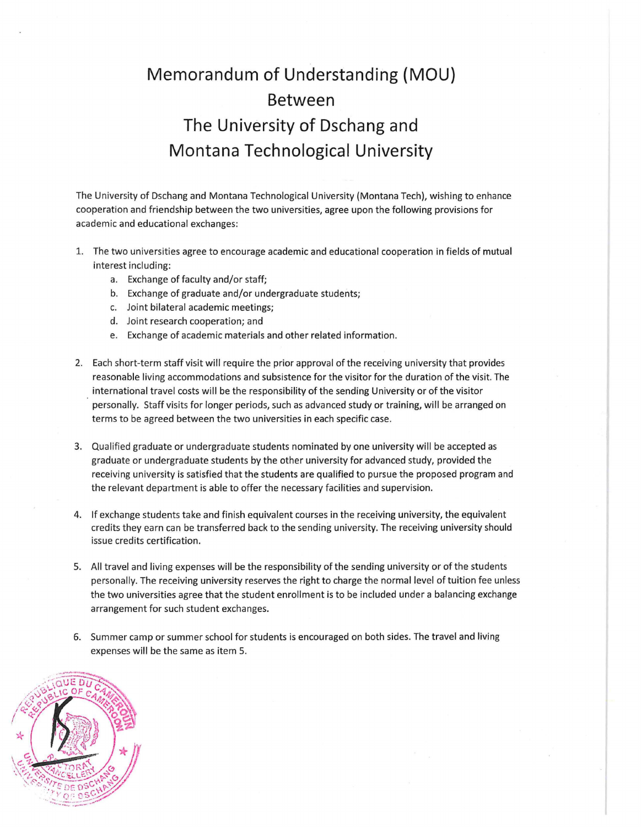## **Memorandum of Understanding (MOU) Between The University of Dschang and Montana Technological University**

The University of Dschang and Montana Technological University {Montana Tech), wishing to enhance cooperation and friendship between the two universities, agree upon the following provisions for academic and educational exchanges:

- 1. The two universities agree to encourage academic and educational cooperation in fields of mutual interest including:
	- a. Exchange of faculty and/or staff;
	- b. Exchange of graduate and/or undergraduate students;
	- c. Joint bilateral academic meetings;
	- d. Joint research cooperation; and
	- e. Exchange of academic materials and other related information.
- 2. Each short-term staff visit will require the prior approval of the receiving university that provides reasonable living accommodations and subsistence for the visitor for the duration of the visit. The international travel costs will be the responsibility of the sending University or of the visitor personally. Staff visits for longer periods, such as advanced study or training, will be arranged on terms to be agreed between the two universities in each specific case.
- 3. Qualified graduate or undergraduate students nominated by one university will be accepted as graduate or undergraduate students by the other university for advanced study, provided the receiving university is satisfied that the students are qualified to pursue the proposed program and the relevant department is able to offer the necessary facilities and supervision.
- 4. If exchange students take and finish equivalent courses in the receiving university, the equivalent credits they earn can be transferred back to the sending university. The receiving university should issue credits certification.
- 5. All travel and living expenses will be the responsibility of the sending university or of the students personally. The receiving university reserves the right to charge the normal level of tuition fee unless the two universities agree that the student enrollment is to be included under a balancing exchange arrangement for such student exchanges.
- 6. Summer camp or summer school for students is encouraged on both sides. The travel and living expenses will be the same as item 5.